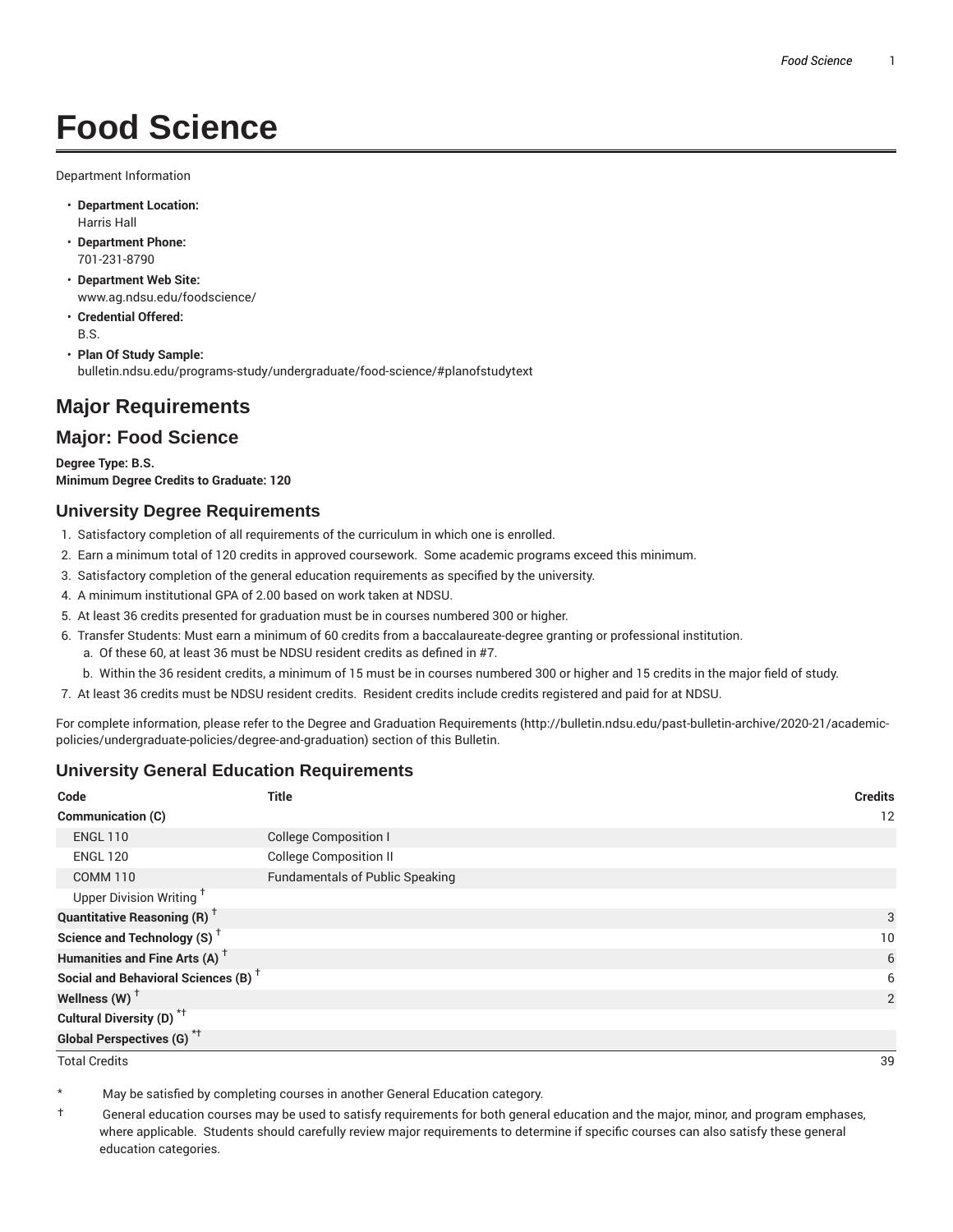# **Food Science**

Department Information

- **Department Location:** Harris Hall
- **Department Phone:** 701-231-8790
- **Department Web Site:** www.ag.ndsu.edu/foodscience/
- **Credential Offered:** B.S.
- **Plan Of Study Sample:** bulletin.ndsu.edu/programs-study/undergraduate/food-science/#planofstudytext

## **Major Requirements**

### **Major: Food Science**

**Degree Type: B.S. Minimum Degree Credits to Graduate: 120**

#### **University Degree Requirements**

- 1. Satisfactory completion of all requirements of the curriculum in which one is enrolled.
- 2. Earn a minimum total of 120 credits in approved coursework. Some academic programs exceed this minimum.
- 3. Satisfactory completion of the general education requirements as specified by the university.
- 4. A minimum institutional GPA of 2.00 based on work taken at NDSU.
- 5. At least 36 credits presented for graduation must be in courses numbered 300 or higher.
- 6. Transfer Students: Must earn a minimum of 60 credits from a baccalaureate-degree granting or professional institution.
	- a. Of these 60, at least 36 must be NDSU resident credits as defined in #7.
	- b. Within the 36 resident credits, a minimum of 15 must be in courses numbered 300 or higher and 15 credits in the major field of study.
- 7. At least 36 credits must be NDSU resident credits. Resident credits include credits registered and paid for at NDSU.

For complete information, please refer to the Degree and Graduation Requirements (http://bulletin.ndsu.edu/past-bulletin-archive/2020-21/academicpolicies/undergraduate-policies/degree-and-graduation) section of this Bulletin.

#### **University General Education Requirements**

| Code                                            | <b>Title</b>                           | <b>Credits</b> |
|-------------------------------------------------|----------------------------------------|----------------|
| Communication (C)                               |                                        | 12             |
| <b>ENGL 110</b>                                 | <b>College Composition I</b>           |                |
| <b>ENGL 120</b>                                 | <b>College Composition II</b>          |                |
| <b>COMM 110</b>                                 | <b>Fundamentals of Public Speaking</b> |                |
| Upper Division Writing <sup>+</sup>             |                                        |                |
| <b>Quantitative Reasoning (R)</b> <sup>†</sup>  |                                        | 3              |
| Science and Technology (S) <sup>+</sup>         |                                        | 10             |
| Humanities and Fine Arts (A) <sup>+</sup>       |                                        | 6              |
| Social and Behavioral Sciences (B) <sup>+</sup> |                                        | 6              |
| Wellness $(W)$ <sup>+</sup>                     |                                        | 2              |
| Cultural Diversity (D) <sup>*†</sup>            |                                        |                |
| <b>Global Perspectives (G)<sup>*†</sup></b>     |                                        |                |

Total Credits 39

May be satisfied by completing courses in another General Education category.

† General education courses may be used to satisfy requirements for both general education and the major, minor, and program emphases, where applicable. Students should carefully review major requirements to determine if specific courses can also satisfy these general education categories.